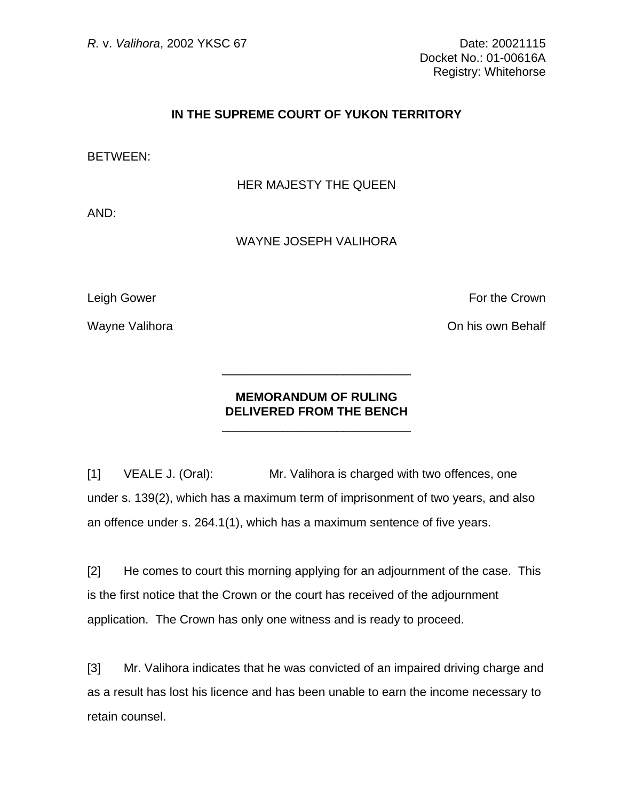## **IN THE SUPREME COURT OF YUKON TERRITORY**

BETWEEN:

HER MAJESTY THE QUEEN

AND:

## WAYNE JOSEPH VALIHORA

Leigh Gower **For the Crown** 

Wayne Valihora **On his own Behalf** 

## **MEMORANDUM OF RULING DELIVERED FROM THE BENCH**

 $\frac{1}{\sqrt{2\pi}}$  ,  $\frac{1}{\sqrt{2\pi}}$  ,  $\frac{1}{\sqrt{2\pi}}$  ,  $\frac{1}{\sqrt{2\pi}}$  ,  $\frac{1}{\sqrt{2\pi}}$  ,  $\frac{1}{\sqrt{2\pi}}$  ,  $\frac{1}{\sqrt{2\pi}}$  ,  $\frac{1}{\sqrt{2\pi}}$  ,  $\frac{1}{\sqrt{2\pi}}$  ,  $\frac{1}{\sqrt{2\pi}}$  ,  $\frac{1}{\sqrt{2\pi}}$  ,  $\frac{1}{\sqrt{2\pi}}$  ,  $\frac{1}{\sqrt{2\pi}}$  ,

 $\frac{1}{\sqrt{2\pi}}$  ,  $\frac{1}{\sqrt{2\pi}}$  ,  $\frac{1}{\sqrt{2\pi}}$  ,  $\frac{1}{\sqrt{2\pi}}$  ,  $\frac{1}{\sqrt{2\pi}}$  ,  $\frac{1}{\sqrt{2\pi}}$  ,  $\frac{1}{\sqrt{2\pi}}$  ,  $\frac{1}{\sqrt{2\pi}}$  ,  $\frac{1}{\sqrt{2\pi}}$  ,  $\frac{1}{\sqrt{2\pi}}$  ,  $\frac{1}{\sqrt{2\pi}}$  ,  $\frac{1}{\sqrt{2\pi}}$  ,  $\frac{1}{\sqrt{2\pi}}$  ,

[1] VEALE J. (Oral): Mr. Valihora is charged with two offences, one under s. 139(2), which has a maximum term of imprisonment of two years, and also an offence under s. 264.1(1), which has a maximum sentence of five years.

[2] He comes to court this morning applying for an adjournment of the case. This is the first notice that the Crown or the court has received of the adjournment application. The Crown has only one witness and is ready to proceed.

[3] Mr. Valihora indicates that he was convicted of an impaired driving charge and as a result has lost his licence and has been unable to earn the income necessary to retain counsel.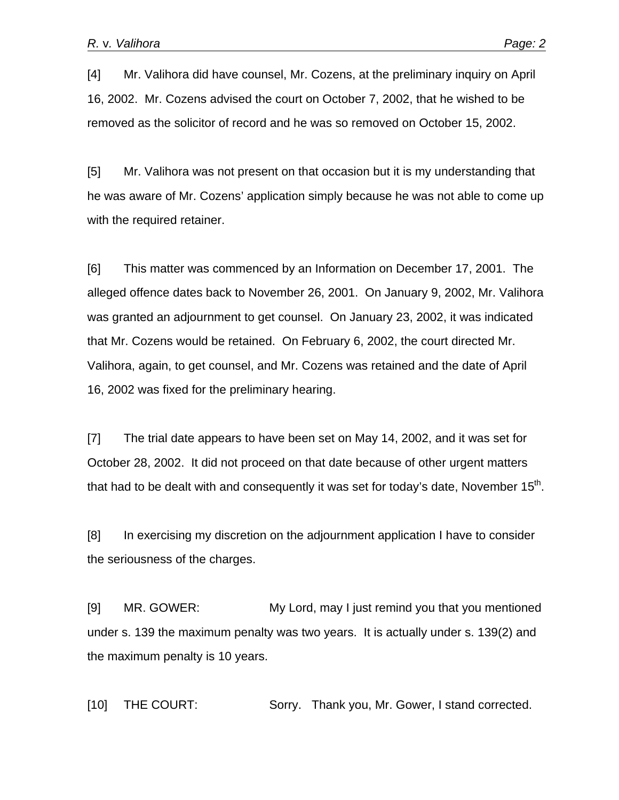[4] Mr. Valihora did have counsel, Mr. Cozens, at the preliminary inquiry on April 16, 2002. Mr. Cozens advised the court on October 7, 2002, that he wished to be removed as the solicitor of record and he was so removed on October 15, 2002.

[5] Mr. Valihora was not present on that occasion but it is my understanding that he was aware of Mr. Cozens' application simply because he was not able to come up with the required retainer.

[6] This matter was commenced by an Information on December 17, 2001. The alleged offence dates back to November 26, 2001. On January 9, 2002, Mr. Valihora was granted an adjournment to get counsel. On January 23, 2002, it was indicated that Mr. Cozens would be retained. On February 6, 2002, the court directed Mr. Valihora, again, to get counsel, and Mr. Cozens was retained and the date of April 16, 2002 was fixed for the preliminary hearing.

[7] The trial date appears to have been set on May 14, 2002, and it was set for October 28, 2002. It did not proceed on that date because of other urgent matters that had to be dealt with and consequently it was set for today's date, November  $15<sup>th</sup>$ .

[8] In exercising my discretion on the adjournment application I have to consider the seriousness of the charges.

[9] MR. GOWER: My Lord, may I just remind you that you mentioned under s. 139 the maximum penalty was two years. It is actually under s. 139(2) and the maximum penalty is 10 years.

[10] THE COURT: Sorry. Thank you, Mr. Gower, I stand corrected.